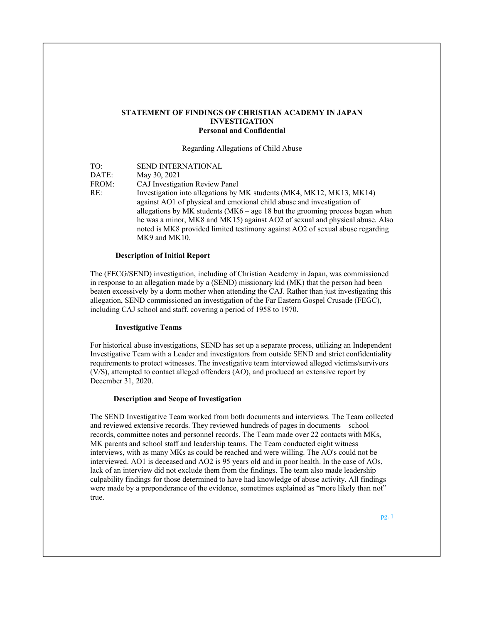# STATEMENT OF FINDINGS OF CHRISTIAN ACADEMY IN JAPAN INVESTIGATION Personal and Confidential

Regarding Allegations of Child Abuse

| TO:               | SEND INTERNATIONAL                                                              |  |
|-------------------|---------------------------------------------------------------------------------|--|
| $\mathsf{DATE}$ : | May 30, 2021                                                                    |  |
| FROM:             | CAJ Investigation Review Panel                                                  |  |
| RE:               | Investigation into allegations by MK students (MK4, MK12, MK13, MK14)           |  |
|                   | against AO1 of physical and emotional child abuse and investigation of          |  |
|                   | allegations by MK students ( $MK6 - age$ 18 but the grooming process began when |  |
|                   | he was a minor, MK8 and MK15) against AO2 of sexual and physical abuse. Also    |  |
|                   | noted is MK8 provided limited testimony against AO2 of sexual abuse regarding   |  |
|                   | MK9 and MK10.                                                                   |  |

#### Description of Initial Report

The (FECG/SEND) investigation, including of Christian Academy in Japan, was commissioned in response to an allegation made by a (SEND) missionary kid (MK) that the person had been beaten excessively by a dorm mother when attending the CAJ. Rather than just investigating this allegation, SEND commissioned an investigation of the Far Eastern Gospel Crusade (FEGC), including CAJ school and staff, covering a period of 1958 to 1970.

#### Investigative Teams

For historical abuse investigations, SEND has set up a separate process, utilizing an Independent Investigative Team with a Leader and investigators from outside SEND and strict confidentiality requirements to protect witnesses. The investigative team interviewed alleged victims/survivors (V/S), attempted to contact alleged offenders (AO), and produced an extensive report by December 31, 2020.

#### Description and Scope of Investigation

The SEND Investigative Team worked from both documents and interviews. The Team collected and reviewed extensive records. They reviewed hundreds of pages in documents—school records, committee notes and personnel records. The Team made over 22 contacts with MKs, MK parents and school staff and leadership teams. The Team conducted eight witness interviews, with as many MKs as could be reached and were willing. The AO's could not be interviewed. AO1 is deceased and AO2 is 95 years old and in poor health. In the case of AOs, lack of an interview did not exclude them from the findings. The team also made leadership culpability findings for those determined to have had knowledge of abuse activity. All findings were made by a preponderance of the evidence, sometimes explained as "more likely than not" true.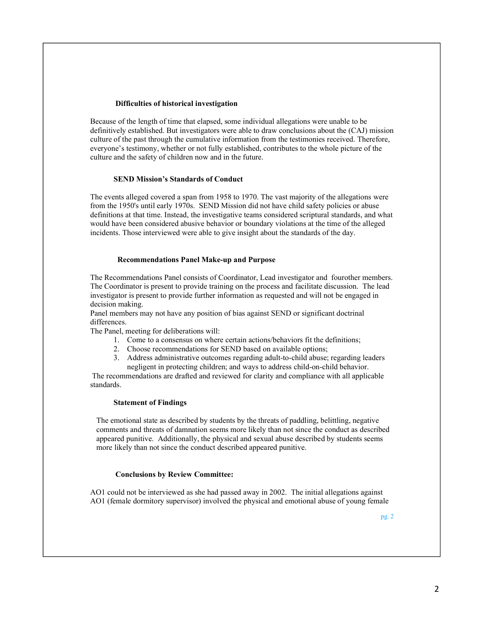### Difficulties of historical investigation

Because of the length of time that elapsed, some individual allegations were unable to be definitively established. But investigators were able to draw conclusions about the (CAJ) mission culture of the past through the cumulative information from the testimonies received. Therefore, everyone's testimony, whether or not fully established, contributes to the whole picture of the culture and the safety of children now and in the future.

# SEND Mission's Standards of Conduct

The events alleged covered a span from 1958 to 1970. The vast majority of the allegations were from the 1950's until early 1970s. SEND Mission did not have child safety policies or abuse definitions at that time. Instead, the investigative teams considered scriptural standards, and what would have been considered abusive behavior or boundary violations at the time of the alleged incidents. Those interviewed were able to give insight about the standards of the day.

### Recommendations Panel Make-up and Purpose

The Recommendations Panel consists of Coordinator, Lead investigator and fourother members. The Coordinator is present to provide training on the process and facilitate discussion. The lead investigator is present to provide further information as requested and will not be engaged in decision making.

Panel members may not have any position of bias against SEND or significant doctrinal differences.

The Panel, meeting for deliberations will:

- 1. Come to a consensus on where certain actions/behaviors fit the definitions;
- 2. Choose recommendations for SEND based on available options;
- 3. Address administrative outcomes regarding adult-to-child abuse; regarding leaders negligent in protecting children; and ways to address child-on-child behavior.

 The recommendations are drafted and reviewed for clarity and compliance with all applicable standards.

### Statement of Findings

The emotional state as described by students by the threats of paddling, belittling, negative comments and threats of damnation seems more likely than not since the conduct as described appeared punitive. Additionally, the physical and sexual abuse described by students seems more likely than not since the conduct described appeared punitive.

## Conclusions by Review Committee:

AO1 could not be interviewed as she had passed away in 2002. The initial allegations against AO1 (female dormitory supervisor) involved the physical and emotional abuse of young female

pg. 2